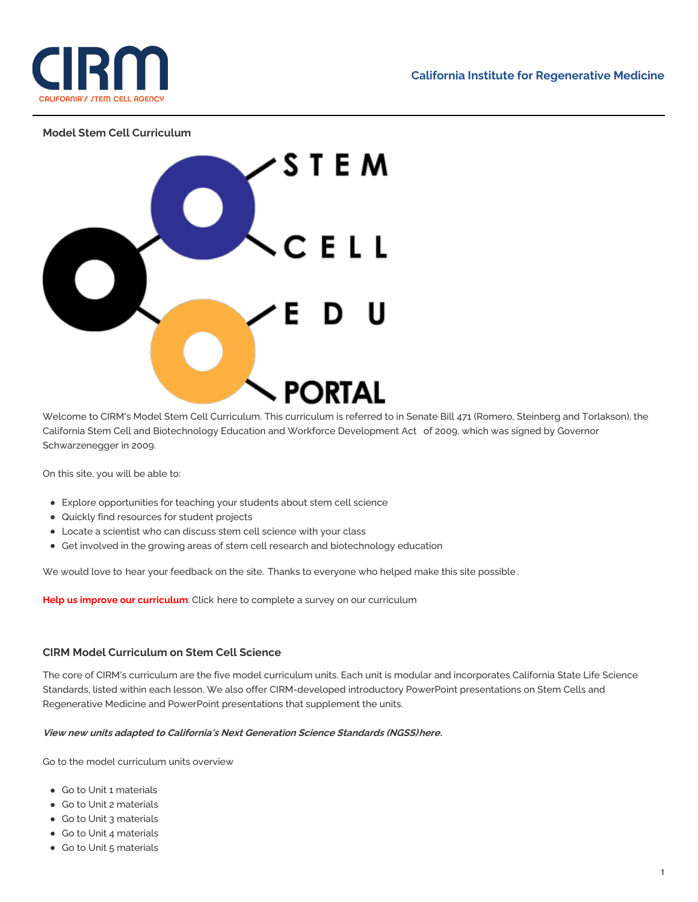

## **Model Stem Cell Curriculum**



Welcome to CIRM's Model Stem Cell Curriculum. This curriculum is referred to in Senate Bill 471 (Romero, Steinberg and Torlakson), the California Stem Cell and [Biotechnology](https://www.cirm.ca.gov/our-progress/stem-cell-biotechnology-and-workforce-development-act) Education and Workforce Development Act of 2009, which was signed by Governor Schwarzenegger in 2009.

On this site, you will be able to:

- Explore opportunities for teaching your students about stem cell science
- Quickly find resources for student projects
- Locate a scientist who can discuss stem cell science with your class
- Get involved in the growing areas of stem cell research and biotechnology education

We would love to hear your [feedback](mailto:dgibbons@cirm.ca.gov?subject=Comments%20on%20Education%20Portal) on the site. Thanks to [everyone](https://www.cirm.ca.gov/our-progress/stem-cell-education-portal-acknowledgements) who helped make this site possible.

**Help us improve our curriculum**: Click [here](http://www.surveymonkey.com/survey-closed/?sm=hlvYZlW4D%252b5hRaNeEfYGusWJ6xC5X56B1R4aPGf4OsAubv2sa4NxnYEQrWrLc8Kw8nb3JWc%252bQk9PBSs5eVZlcA%253d%253d) to complete a survey on our curriculum

## **CIRM Model Curriculum on Stem Cell Science**

The core of CIRM's curriculum are the five model curriculum units. Each unit is modular and incorporates California State Life Science Standards, listed within each lesson. We also offer CIRM-developed introductory PowerPoint presentations on Stem Cells and Regenerative Medicine and PowerPoint presentations that supplement the units.

#### **View new units adapted to California's Next Generation Science Standards (NGSS[\)here](https://www.cirm.ca.gov/our-progress/next-generation-science-standards-unit).**

Go to the model [curriculum](https://www.cirm.ca.gov/our-progress/model-stem-cell-science-curriculum) units overview

- Go to Unit 1 [materials](https://www.cirm.ca.gov/our-progress/download-unit-1)
- Go to Unit 2 [materials](https://www.cirm.ca.gov/our-progress/download-unit-2)
- Go to Unit 3 [materials](https://www.cirm.ca.gov/our-progress/download-unit-3)
- Go to Unit 4 [materials](https://www.cirm.ca.gov/our-progress/download-unit-4)
- Go to Unit 5 [materials](https://www.cirm.ca.gov/our-progress/download-unit-5)